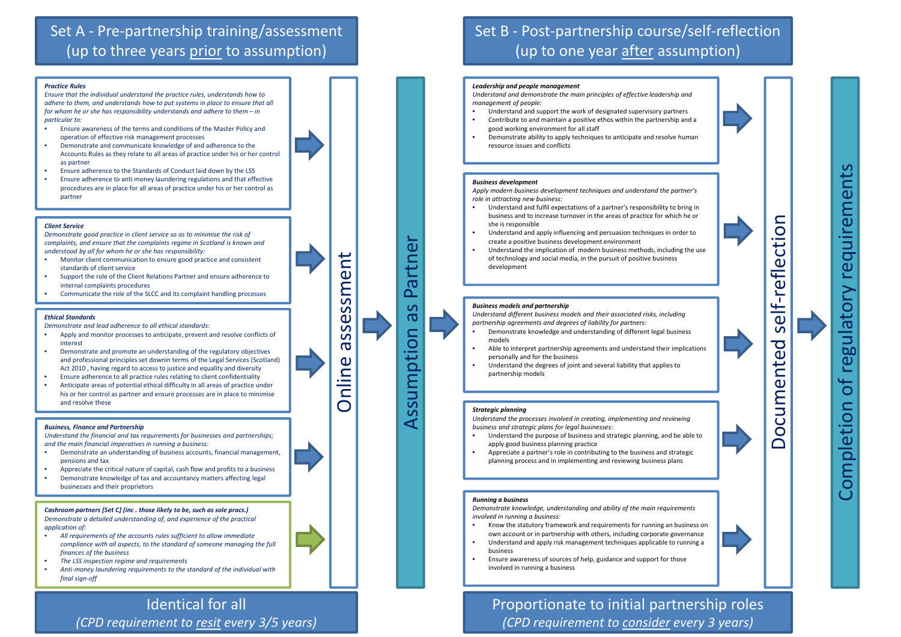### *Practice Rules*

*Ensure that the individual understand the practice rules, understands how to adhere to them, and understands how to put systems in place to ensure that all for whom he or she has responsibility understands and adhere to them – in particular to:*

- • Ensure awareness of the terms and conditions of the Master Policy and operation of effective risk management processes
- • Demonstrate and communicate knowledge of and adherence to the Accounts Rules as they relate to all areas of practice under his or her control as partner
- •Ensure adherence to the Standards of Conduct laid down by the LSS
- • Ensure adherence to anti money laundering regulations and that effective procedures are in place for all areas of practice under his or her control as partner

### *Client Service*

*Demonstrate good practice in client service so as to minimise the risk of complaints, and ensure that the complaints regime in Scotland is known and understood by all for whom he or she has responsibility:*

- • Monitor client communication to ensure good practice and consistent standards of client service
- • Support the role of the Client Relations Partner and ensure adherence to internal complaints procedures
- •Communicate the role of the SLCC and its complaint handling processes

Online assessment ssessment  $\overline{\sigma}$ Online

### *Ethical Standards*

*Demonstrate and lead adherence to all ethical standards:*

- • Apply and monitor processes to anticipate, prevent and resolve conflicts of interest
- • Demonstrate and promote an understanding of the regulatory objectives and professional principles set downin terms of the Legal Services (Scotland) Act 2010 , having regard to access to justice and equality and diversity
- •Ensure adherence to all practice rules relating to client confidentiality
- • Anticipate areas of potential ethical difficulty in all areas of practice under his or her control as partner and ensure processes are in place to minimise and resolve these

#### *Business, Finance and Partnership*

*Understand the financial and tax requirements for businesses and partnerships; and the main financial imperatives in running <sup>a</sup> business:*

- • Demonstrate an understanding of business accounts, financial management, pensions and tax
- •Appreciate the critical nature of capital, cash flow and profits to <sup>a</sup> business
- • Demonstrate knowledge of tax and accountancy matters affecting legal businesses and their proprietors

Assumption as Partner

Assumption

**as** 

Partne



## Set A ‐ Pre‐partnership training/assessment (up to three years prior to assumption)

## Set B ‐ Post‐partnership course/self‐reflection (up to one year after assumption)

## Identical for all *(CPD requirement to resit every 3/5 years)*

# *(CPD requirement to consider every 3 years)*

*Cashroom partners [Set C] (inc . those likely to be, such as sole pracs.) Demonstrate a detailed understanding of, and experience of the practical application of:*

- • *All requirements of the accounts rules sufficient to allow immediate compliance with all aspects, to the standard of someone managing the full finances of the business*
- •*The LSS inspection regime and requirements*
- • *Anti‐money laundering requirements to the standard of the individual with final sign‐off*